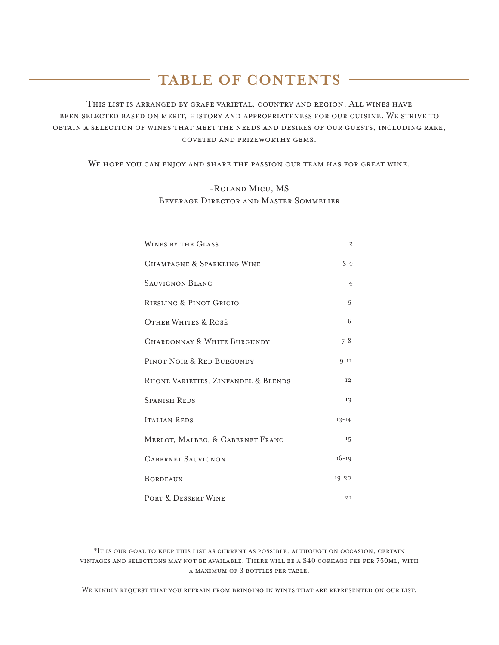# **TABLE OF CONTENTS**

This list is arranged by grape varietal, country and region. All wines have been selected based on merit, history and appropriateness for our cuisine. We strive to obtain a selection of wines that meet the needs and desires of our guests, including rare, coveted and prizeworthy gems.

WE HOPE YOU CAN ENJOY AND SHARE THE PASSION OUR TEAM HAS FOR GREAT WINE.

## -Roland Micu, MS Beverage Director and Master Sommelier

| <b>WINES BY THE GLASS</b>           | $\overline{2}$ |
|-------------------------------------|----------------|
| CHAMPAGNE & SPARKLING WINE          | $3 - 4$        |
| SAUVIGNON BLANC                     | $\overline{4}$ |
| RIESLING & PINOT GRIGIO             | 5              |
| <b>OTHER WHITES &amp; ROSÉ</b>      | 6              |
| CHARDONNAY & WHITE BURGUNDY         | $7 - 8$        |
| PINOT NOIR & RED BURGUNDY           | $9-II$         |
| RHÔNE VARIETIES, ZINFANDEL & BLENDS | <b>I2</b>      |
| <b>SPANISH REDS</b>                 | 13             |
| <b>ITALIAN REDS</b>                 | $13 - 14$      |
| MERLOT, MALBEC, & CABERNET FRANC    | 15             |
| <b>CABERNET SAUVIGNON</b>           | $16 - 19$      |
| <b>BORDEAUX</b>                     | $19 - 20$      |
| PORT & DESSERT WINE                 | 2I             |

\*It is our goal to keep this list as current as possible, although on occasion, certain vintages and selections may not be available. There will be a \$40 corkage fee per 750ml, with a maximum of 3 bottles per table.

We kindly request that you refrain from bringing in wines that are represented on our list.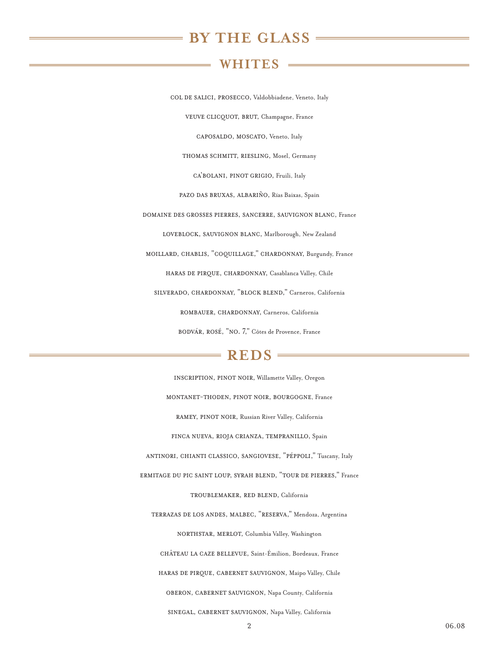## **BY THE GLASS**

## **WHITES**

<span id="page-1-0"></span>col de salici, prosecco, Valdobbiadene, Veneto, Italy veuve clicquot, brut, Champagne, France caposaldo, moscato, Veneto, Italy thomas schmitt, riesling, Mosel, Germany ca'bolani, pinot grigio, Fruili, Italy pazo das bruxas, albariÑo, Rías Baixas, Spain domaine des grosses pierres, sancerre, sauvignon blanc, France loveblock, sauvignon blanc, Marlborough, New Zealand moillard, chablis, "coquillage," chardonnay, Burgundy, France haras de pirque, chardonnay, Casablanca Valley, Chile silverado, chardonnay, "block blend," Carneros, California rombauer, chardonnay, Carneros, California bodvár, rosé, "no. 7," Côtes de Provence, France

## $=$ **REDS** $=$

inscription, pinot noir, Willamette Valley, Oregon montanet-thoden, pinot noir, bourgogne, France ramey, pinot noir, Russian River Valley, California finca nueva, rioja crianza, tempranillo, Spain antinori, chianti classico, sangiovese, "pÉppoli," Tuscany, Italy ermitage du pic saint loup, syrah blend, "tour de pierres," France troublemaker, red blend, California terrazas de los andes, malbec, "reserva," Mendoza, Argentina northstar, merlot, Columbia Valley, Washington château la caze bellevue, Saint-Émilion, Bordeaux, France haras de pirque, cabernet sauvignon, Maipo Valley, Chile oberon, cabernet sauvignon, Napa County, California sinegal, cabernet sauvignon, Napa Valley, California

2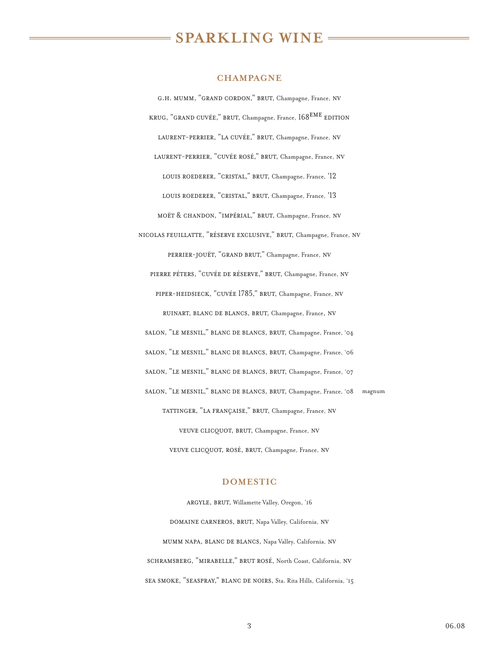# **SPARKLING WINE**

#### **CHAMPAGNE**

<span id="page-2-0"></span>g.h. mumm, "grand cordon," brut, Champagne, France, nv KRUG, "GRAND CUVÉE," BRUT, Champagne, France,  $168^{EME}$  EDITION laurent-perrier, "la cuvÉe," brut, Champagne, France, nv laurent-perrier, "cuvÉe rosÉ," brut, Champagne, France, nv LOUIS ROEDERER, "CRISTAL," BRUT, Champagne, France, '12 LOUIS ROEDERER, "CRISTAL," BRUT, Champagne, France, <sup>'13</sup> moët & chandon, "impÉrial," brut, Champagne, France, nv nicolas feuillatte, "rÉserve exclusive," brut, Champagne, France, nv perrier-jouët, "grand brut," Champagne, France, nv pierre pÉters, "cuvÉe de rÉserve," brut, Champagne, France, nv piper-heidsieck, "cuvÉe 1785," brut, Champagne, France, nv ruinart, blanc de blancs, brut, Champagne, France, nv salon, "le mesnil," blanc de blancs, brut, Champagne, France, '04 salon, "le mesnil," blanc de blancs, brut, Champagne, France, '06 salon, "le mesnil," blanc de blancs, brut, Champagne, France, '07 salon, "le mesnil," blanc de blancs, brut, Champagne, France, '08 magnum tattinger, "la franÇaise," brut, Champagne, France, nv veuve clicquot, brut, Champagne, France, nv veuve clicquot, rosÉ, brut, Champagne, France, nv

#### **DOMESTIC**

argyle, brut, Willamette Valley, Oregon, '16 domaine carneros, brut, Napa Valley, California, nv mumm napa, blanc de blancs, Napa Valley, California, nv schramsberg, "mirabelle," brut rosÉ, North Coast, California, nv sea smoke, "seaspray," blanc de noirs, Sta. Rita Hills, California, '15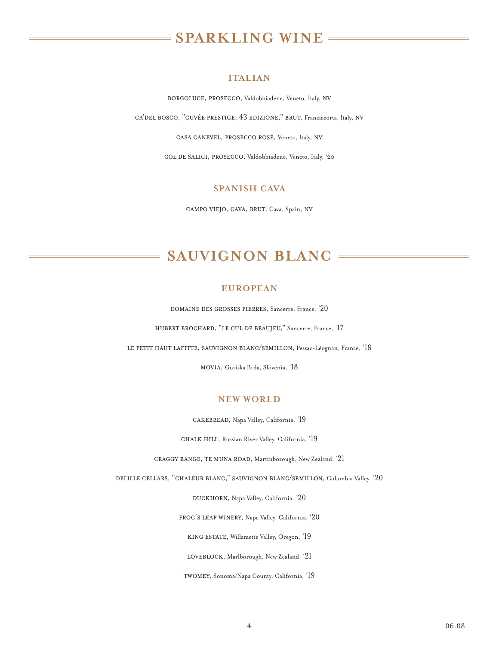# **SPARKLING WINE**

#### **ITALIAN**

borgoluce, prosecco, Valdobbiadene, Veneto, Italy, nv

<span id="page-3-0"></span>ca'del bosco, "cuvÉe prestige, 43 edizione," brut, Franciacorta, Italy, nv

casa canevel, prosecco rosÉ, Veneto, Italy, nv

col de salici, prosecco, Valdobbiadene, Veneto, Italy, '20

## **SPANISH CAVA**

campo viejo, cava, brut, Cava, Spain, nv

# **SAUVIGNON BLANC**

## **EUROPEAN**

domaine des grosses pierres, Sancerre, France, '20

hubert brochard, "le cul de beaujeu," Sancerre, France, '17

le petit haut lafitte, sauvignon blanc/semillon, Pessac-Léognan, France, '18

movia, Goriška Brda, Slovenia, '18

## **NEW WORLD**

cakebread, Napa Valley, California, '19

chalk hill, Russian River Valley, California, '19

craggy range, te muna road, Martinborough, New Zealand, '21

delille cellars, "chaleur blanc," sauvignon blanc/semillon, Columbia Valley, '20

DUCKHORN, Napa Valley, California, '20

frog's leap winery, Napa Valley, California, '20

king estate, Willamette Valley, Oregon, '19

LOVEBLOCK, Marlborough, New Zealand, '21

twomey, Sonoma/Napa County, California, '19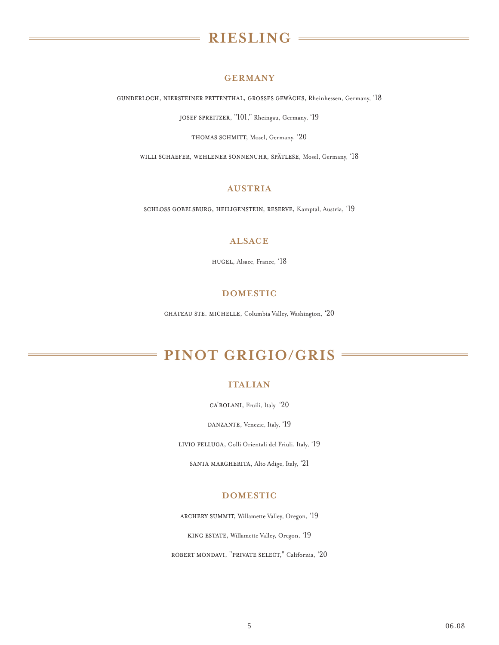# **RIESLING**

### **GERMANY**

<span id="page-4-0"></span>gunderloch, niersteiner pettenthal, grosses gewächs, Rheinhessen, Germany, '18

JOSEF SPREITZER, "101," Rheingau, Germany, '19

THOMAS SCHMITT, Mosel, Germany, '20

willi schaefer, wehlener sonnenuhr, spätlese, Mosel, Germany, '18

## **AUSTRIA**

schloss gobelsburg, heiligenstein, reserve, Kamptal, Austria, '19

## **ALSACE**

hugel, Alsace, France, '18

## **DOMESTIC**

chateau ste. michelle, Columbia Valley, Washington, '20

# **PINOT GRIGIO/GRIS**

### **ITALIAN**

ca'bolani, Fruili, Italy '20

DANZANTE, Venezie, Italy, '19

livio felluga, Colli Orientali del Friuli, Italy, '19

santa margherita, Alto Adige, Italy, '21

## **DOMESTIC**

archery summit, Willamette Valley, Oregon, '19

king estate, Willamette Valley, Oregon, '19

robert mondavi, "private select," California, '20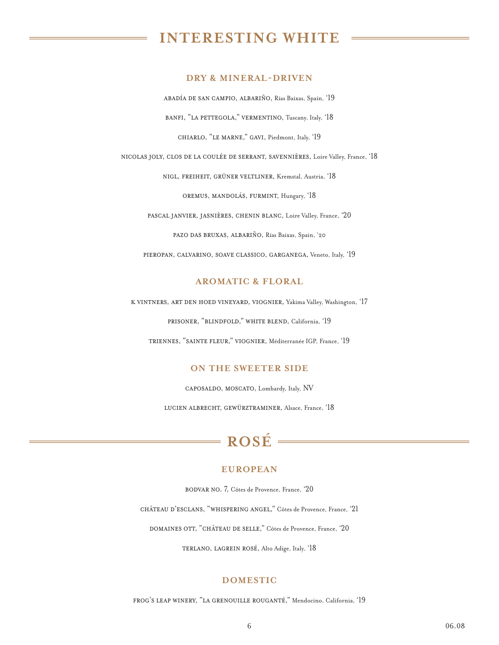# <span id="page-5-0"></span>**INTERESTING WHITE**

#### **DRY & MINERAL-DRIVEN**

abadía de san campio, albariÑo, Rías Baixas, Spain, '19 banfi, "la pettegola," vermentino, Tuscany, Italy, '18 chiarlo, "le marne," gavi, Piedmont, Italy, '19

nicolas joly, clos de la coulÉe de serrant, savenniÈres, Loire Valley, France, '18

nigl, freiheit, grüner veltliner, Kremstal, Austria, '18 oremus, mandolás, furmint, Hungary, '18

pascal janvier, jasnières, chenin blanc, Loire Valley, France, '20 pazo das bruxas, albariÑo, Rías Baixas, Spain, '20

pieropan, calvarino, soave classico, garganega, Veneto, Italy, '19

## **AROMATIC & FLORAL**

k vintners, art den hoed vineyard, viognier, Yakima Valley, Washington, '17

prisoner, "blindfold," white blend, California, '19

triennes, "sainte fleur," viognier, Méditerranée IGP, France, '19

#### **ON THE SWEETER SIDE**

caposaldo, moscato, Lombardy, Italy, NV

lucien albrecht, gewürztraminer, Alsace, France, '18

# **ROSÉ**

#### **EUROPEAN**

bodvar no. 7, Côtes de Provence, France, '20

château d'esclans, "whispering angel," Côtes de Provence, France, '21

domaines ott, "château de selle," Côtes de Provence, France, '20

TERLANO, LAGREIN ROSÉ, Alto Adige, Italy, '18

#### **DOMESTIC**

frog's leap winery, "la grenouille rouganté," Mendocino, California, '19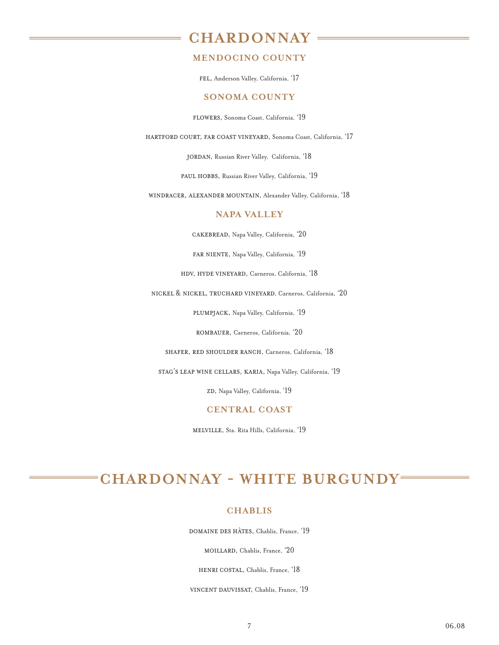## <span id="page-6-0"></span>**CHARDONNAY**

## **MENDOCINO COUNTY**

fel, Anderson Valley, California, '17

#### **SONOMA COUNTY**

flowers, Sonoma Coast, California, '19

hartford court, far coast vineyard, Sonoma Coast, California, '17

jordan, Russian River Valley, California, '18

paul hobbs, Russian River Valley, California, '19

windracer, alexander mountain, Alexander Valley, California, '18

### **NAPA VALLEY**

cakebread, Napa Valley, California, '20

FAR NIENTE, Napa Valley, California, '19

hdv, hyde vineyard, Carneros, California, '18

nickel & nickel, truchard vineyard, Carneros, California, '20

plumpjack, Napa Valley, California, '19

rombauer, Carneros, California, '20

shafer, red shoulder ranch, Carneros, California, '18

stag's leap wine cellars, karia, Napa Valley, California, '19

ZD, Napa Valley, California, '19

## **CENTRAL COAST**

melville, Sta. Rita Hills, California, '19

# **CHARDONNAY - WHITE BURGUNDY**

## **CHABLIS**

domaine des hÂtes, Chablis, France, '19

moillard, Chablis, France, '20

henri costal, Chablis, France, '18

vincent dauvissat, Chablis, France, '19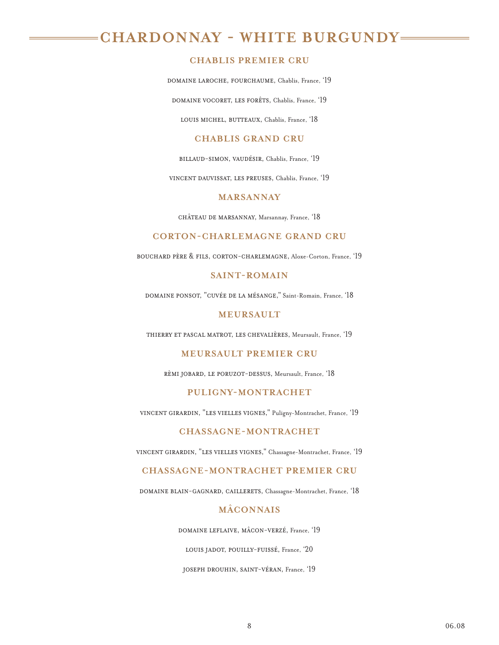# **CHARDONNAY - WHITE BURGUNDY**

## **CHABLIS PREMIER CRU**

domaine laroche, fourchaume, Chablis, France, '19

DOMAINE VOCORET, LES FORÊTS, Chablis, France, '19

LOUIS MICHEL, BUTTEAUX, Chablis, France, '18

## **CHABLIS GRAND CRU**

billaud-simon, vaudésir, Chablis, France, '19

vincent dauvissat, les preuses, Chablis, France, '19

## **MARSANNAY**

chÂteau de marsannay, Marsannay, France, '18

#### **CORTON-CHARLEMAGNE GRAND CRU**

bouchard père & fils, corton-charlemagne, Aloxe-Corton, France, '19

#### **SAINT-ROMAIN**

domaine ponsot, "cuvée de la mésange," Saint-Romain, France, '18

### **MEURSAULT**

thierry et pascal matrot, les chevaliÈres, Meursault, France, '19

### **MEURSAULT PREMIER CRU**

rèmi jobard, le poruzot-dessus, Meursault, France, '18

## **PULIGNY-MONTRACHET**

vincent girardin, "les vielles vignes," Puligny-Montrachet, France, '19

## **CHASSAGNE-MONTRACHET**

vincent girardin, "les vielles vignes," Chassagne-Montrachet, France, '19

## **CHASSAGNE-MONTRACHET PREMIER CRU**

domaine blain-gagnard, caillerets, Chassagne-Montrachet, France, '18

#### **MÂCONNAIS**

domaine leflaive, mâcon-verzé, France, '19

louis jadot, pouilly-fuissÉ, France, '20

joseph drouhin, saint-vÉran, France, '19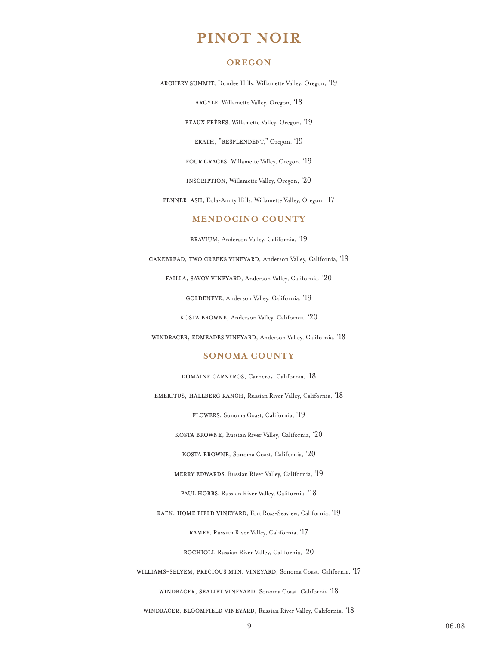## **PINOT NOIR**

#### **OREGON**

<span id="page-8-0"></span>archery summit, Dundee Hills, Willamette Valley, Oregon, '19

argyle, Willamette Valley, Oregon, '18

beaux frères, Willamette Valley, Oregon, '19

erath, "resplendent," Oregon, '19

four graces, Willamette Valley, Oregon, '19

INSCRIPTION, Willamette Valley, Oregon, '20

penner-ash, Eola-Amity Hills, Willamette Valley, Oregon, '17

#### **MENDOCINO COUNTY**

bravium, Anderson Valley, California, '19

cakebread, two creeks vineyard, Anderson Valley, California, '19

failla, savoy vineyard, Anderson Valley, California, '20

GOLDENEYE, Anderson Valley, California, '19

kosta browne, Anderson Valley, California, '20

windracer, edmeades vineyard, Anderson Valley, California, '18

#### **SONOMA COUNTY**

DOMAINE CARNEROS, Carneros, California, '18

emeritus, hallberg ranch, Russian River Valley, California, '18

flowers, Sonoma Coast, California, '19

kosta browne, Russian River Valley, California, '20

kosta browne, Sonoma Coast, California, '20

merry edwards, Russian River Valley, California, '19

paul hobbs, Russian River Valley, California, '18

raen, home field vineyard, Fort Ross-Seaview, California, '19

ramey, Russian River Valley, California, '17

rochioli, Russian River Valley, California, '20

williams-selyem, precious mtn. vineyard, Sonoma Coast, California, '17

windracer, sealift vineyard, Sonoma Coast, California '18

windracer, bloomfield vineyard, Russian River Valley, California, '18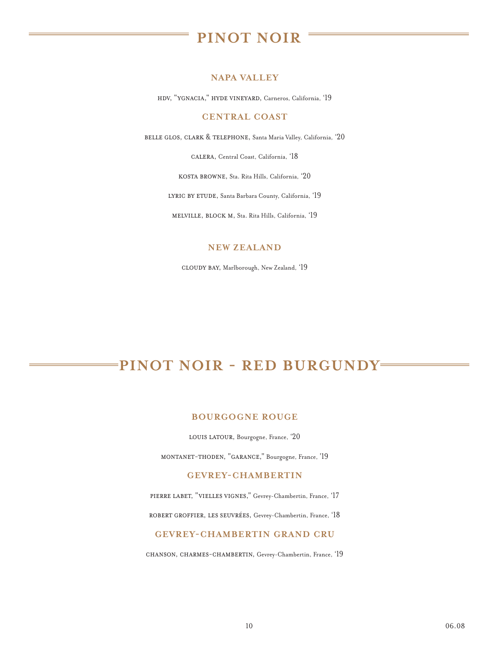# **PINOT NOIR**

## **NAPA VALLEY**

hdv, "ygnacia," hyde vineyard, Carneros, California, '19

## **CENTRAL COAST**

belle glos, clark & telephone, Santa Maria Valley, California, '20

calera, Central Coast, California, '18

kosta browne, Sta. Rita Hills, California, '20

LYRIC BY ETUDE, Santa Barbara County, California, '19

melville, block m, Sta. Rita Hills, California, '19

## **NEW ZEALAND**

cloudy bay, Marlborough, New Zealand, '19

# **PINOT NOIR - RED BURGUNDY**

## **BOURGOGNE ROUGE**

LOUIS LATOUR, Bourgogne, France, '20

montanet-thoden, "garance," Bourgogne, France, '19

## **GEVREY-CHAMBERTIN**

pierre labet, "vielles vignes," Gevrey-Chambertin, France, '17

robert groffier, les seuvrÉes, Gevrey-Chambertin, France, '18

### **GEVREY-CHAMBERTIN GRAND CRU**

chanson, charmes-chambertin, Gevrey-Chambertin, France, '19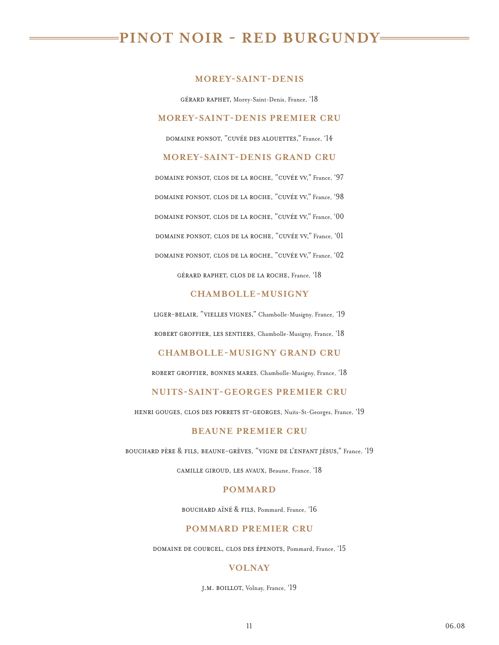# **PINOT NOIR - RED BURGUNDY**

#### **MOREY-SAINT-DENIS**

gérard raphet, Morey-Saint-Denis, France, '18

#### **MOREY-SAINT-DENIS PREMIER CRU**

domaine ponsot, "cuvée des alouettes," France, '14

## **MOREY-SAINT-DENIS GRAND CRU**

domaine ponsot, clos de la roche, "cuvÉe vv," France, '97 domaine ponsot, clos de la roche, "cuvÉe vv," France, '98 domaine ponsot, clos de la roche, "cuvÉe vv," France, '00 domaine ponsot, clos de la roche, "cuvÉe vv," France, '01 domaine ponsot, clos de la roche, "cuvÉe vv," France, '02

gérard raphet, clos de la roche, France, '18

#### **CHAMBOLLE-MUSIGNY**

liger-belair, "vielles vignes," Chambolle-Musigny, France, '19 robert groffier, les sentiers, Chambolle-Musigny, France, '18

#### **CHAMBOLLE-MUSIGNY GRAND CRU**

robert groffier, bonnes mares, Chambolle-Musigny, France, '18

#### **NUITS-SAINT-GEORGES PREMIER CRU**

henri gouges, clos des porrets st-georges, Nuits-St-Georges, France, '19

### **BEAUNE PREMIER CRU**

bouchard père & fils, beaune-grèves, "vigne de l'enfant jésus," France, '19

camille giroud, les avaux, Beaune, France, '18

#### **POMMARD**

bouchard aîné & fils, Pommard, France, '16

## **POMMARD PREMIER CRU**

domaine de courcel, clos des Épenots, Pommard, France, '15

#### **VOLNAY**

j.m. boillot, Volnay, France, '19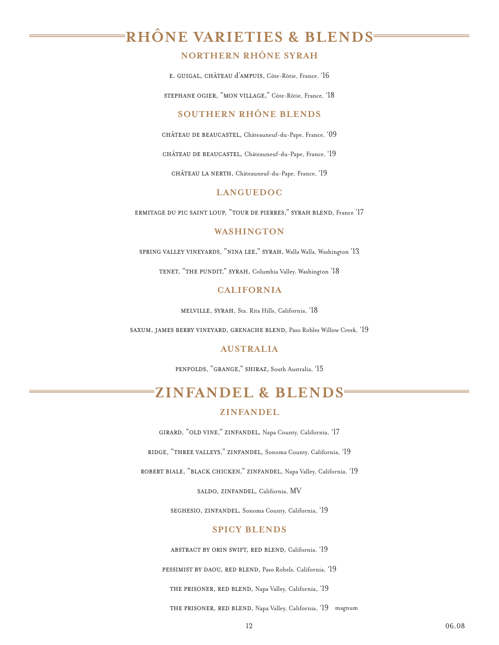# <span id="page-11-0"></span>**RHÔNE VARIETIES & BLENDS**

## **NORTHERN RHÔNE SYRAH**

e. guigal, chÂteau d'ampuis, Côte-Rôtie, France, '16

stephane ogier, "mon village," Côte-Rôtie, France, '18

### **SOUTHERN RHÔNE BLENDS**

château de beaucastel, Châteauneuf-du-Pape, France, '09

château de beaucastel, Châteauneuf-du-Pape, France, '19

château la nerth, Châteauneuf-du-Pape, France, '19

## **LANGUEDOC**

ermitage du pic saint loup, "tour de pierres," syrah blend, France '17

## **WASHINGTON**

spring valley vineyards, "nina lee," syrah, Walla Walla, Washington '13

TENET, "THE PUNDIT," SYRAH, Columbia Valley, Washington '18

#### **CALIFORNIA**

melville, syrah, Sta. Rita Hills, California, '18

saxum, james berry vineyard, grenache blend, Paso Robles Willow Creek, '19

## **AUSTRALIA**

penfolds, "grange," shiraz, South Australia, '15

## **ZINFANDEL & BLENDS ZINFANDEL**

girard, "old vine," zinfandel, Napa County, California, '17

ridge, "three valleys," zinfandel, Sonoma County, California, '19

robert biale, "black chicken," zinfandel, Napa Valley, California, '19

saldo, zinfandel, California, MV

seghesio, zinfandel, Sonoma County, California, '19

## **SPICY BLENDS**

abstract by orin swift, red blend, California, '19

pessimist by daou, red blend, Paso Robels, California, '19

THE PRISONER, RED BLEND, Napa Valley, California, '19

THE PRISONER, RED BLEND, Napa Valley, California, '19 magnum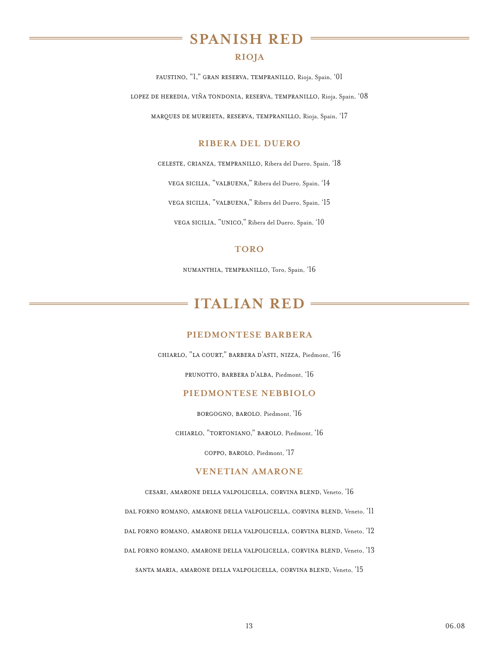## **SPANISH RED**

## **RIOJA**

<span id="page-12-0"></span>faustino, "1," gran reserva, tempranillo, Rioja, Spain, '01 lopez de heredia, viÑa tondonia, reserva, tempranillo, Rioja, Spain, '08 marques de murrieta, reserva, tempranillo, Rioja, Spain, '17

## **RIBERA DEL DUERO**

celeste, crianza, tempranillo, Ribera del Duero, Spain, '18

vega sicilia, "valbuena," Ribera del Duero, Spain, '14

vega sicilia, "valbuena," Ribera del Duero, Spain, '15

vega sicilia, "unico," Ribera del Duero, Spain, '10

#### **TORO**

numanthia, tempranillo, Toro, Spain, '16

## **ITALIAN RED**

#### **PIEDMONTESE BARBERA**

chiarlo, "la court," barbera d'asti, nizza, Piedmont, '16

prunotto, barbera d'alba, Piedmont, '16

#### **PIEDMONTESE NEBBIOLO**

borgogno, barolo, Piedmont, '16

chiarlo, "tortoniano," barolo, Piedmont, '16

coppo, barolo, Piedmont, '17

## **VENETIAN AMARONE**

cesari, amarone della valpolicella, corvina blend, Veneto, '16

dal forno romano, amarone della valpolicella, corvina blend, Veneto, '11

dal forno romano, amarone della valpolicella, corvina blend, Veneto, '12

dal forno romano, amarone della valpolicella, corvina blend, Veneto, '13

santa maria, amarone della valpolicella, corvina blend, Veneto, '15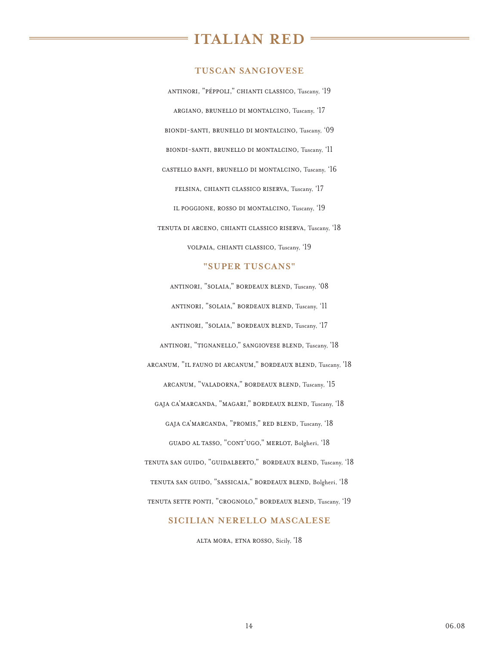## **ITALIAN RED**

#### **TUSCAN SANGIOVESE**

antinori, "pÉppoli," chianti classico, Tuscany, '19 argiano, brunello di montalcino, Tuscany, '17 biondi-santi, brunello di montalcino, Tuscany, '09 biondi-santi, brunello di montalcino, Tuscany, '11 castello banfi, brunello di montalcino, Tuscany, '16 felsina, chianti classico riserva, Tuscany, '17 il poggione, rosso di montalcino, Tuscany, '19 tenuta di arceno, chianti classico riserva, Tuscany, '18 volpaia, chianti classico, Tuscany, '19

#### **"SUPER TUSCANS"**

antinori, "solaia," bordeaux blend, Tuscany, '08 antinori, "solaia," bordeaux blend, Tuscany, '11 antinori, "solaia," bordeaux blend, Tuscany, '17 antinori, "tignanello," sangiovese blend, Tuscany, '18 arcanum, "il fauno di arcanum," bordeaux blend, Tuscany, '18 arcanum, "valadorna," bordeaux blend, Tuscany, '15 gaja ca'marcanda, "magari," bordeaux blend, Tuscany, '18 gaja ca'marcanda, "promis," red blend, Tuscany, '18 guado al tasso, "cont'ugo," merlot, Bolgheri, '18 tenuta san guido, "guidalberto," bordeaux blend, Tuscany, '18 tenuta san guido, "sassicaia," bordeaux blend, Bolgheri, '18 tenuta sette ponti, "crognolo," bordeaux blend, Tuscany, '19

#### **SICILIAN NERELLO MASCALESE**

alta mora, etna rosso, Sicily, '18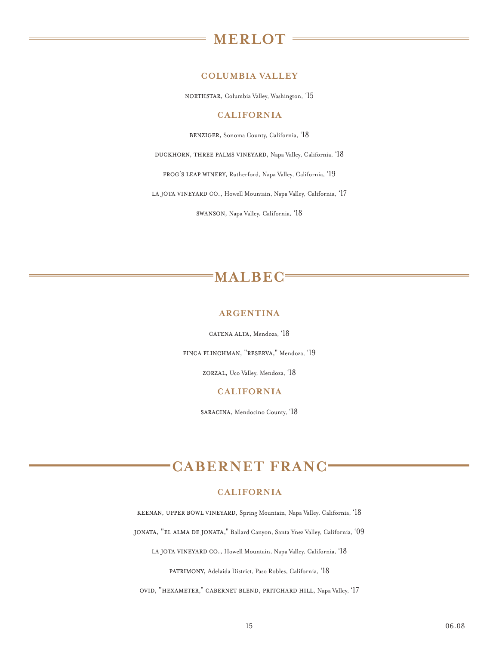## **MERLOT**

## **COLUMBIA VALLEY**

<span id="page-14-0"></span>northstar, Columbia Valley, Washington, '15

#### **CALIFORNIA**

benziger, Sonoma County, California, '18

duckhorn, three palms vineyard, Napa Valley, California, '18

frog's leap winery, Rutherford, Napa Valley, California, '19

LA JOTA VINEYARD CO., Howell Mountain, Napa Valley, California, '17

swanson, Napa Valley, California, '18

## **MALBEC**

### **ARGENTINA**

catena alta, Mendoza, '18

finca flinchman, "reserva," Mendoza, '19

zorzal, Uco Valley, Mendoza, '18

#### **CALIFORNIA**

saracina, Mendocino County, '18

# **CABERNET FRANC**

### **CALIFORNIA**

keenan, upper bowl vineyard, Spring Mountain, Napa Valley, California, '18

jonata, "el alma de jonata," Ballard Canyon, Santa Ynez Valley, California, '09

LA JOTA VINEYARD CO., Howell Mountain, Napa Valley, California, '18

patrimony, Adelaida District, Paso Robles, California, '18

ovid, "hexameter," cabernet blend, pritchard hill, Napa Valley, '17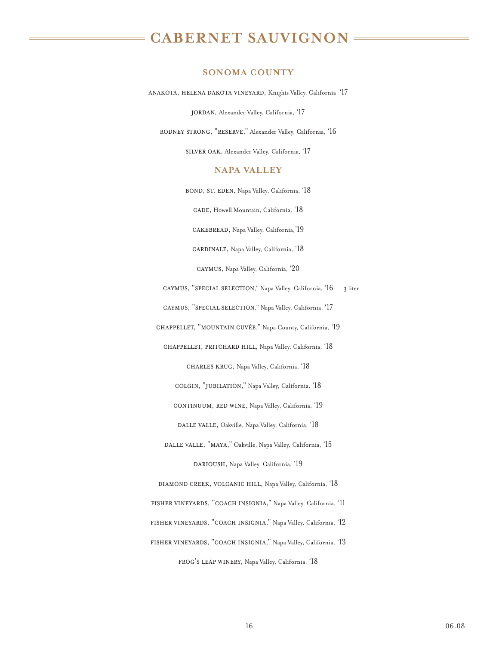#### **SONOMA COUNTY**

<span id="page-15-0"></span>anakota, helena dakota vineyard, Knights Valley, California '17

jordan, Alexander Valley, California, '17

rodney strong, "reserve," Alexander Valley, California, '16

silver oak, Alexander Valley, California, '17

## **NAPA VALLEY**

bond, st. eden, Napa Valley, California, '18

cade, Howell Mountain, California, '18

cakebread, Napa Valley, California,'19

cardinale, Napa Valley, California, '18

caymus, Napa Valley, California, '20

caymus, "special selection," Napa Valley, California, '16 3 liter

caymus, "special selection," Napa Valley, California, '17

chappellet, "mountain cuvÉe," Napa County, California, '19

chappellet, pritchard hill, Napa Valley, California, '18

charles krug, Napa Valley, California, '18

colgin, "jubilation," Napa Valley, California, '18

CONTINUUM, RED WINE, Napa Valley, California, '19

DALLE VALLE, Oakville, Napa Valley, California, '18

DALLE VALLE, "MAYA," Oakville, Napa Valley, California, '15 DARIOUSH, Napa Valley, California, '19

diamond creek, volcanic hill, Napa Valley, California, '18 fisher vineyards, "coach insignia," Napa Valley, California, '11 fisher vineyards, "coach insignia," Napa Valley, California, '12 fisher vineyards, "coach insignia," Napa Valley, California, '13 frog's leap winery, Napa Valley, California, '18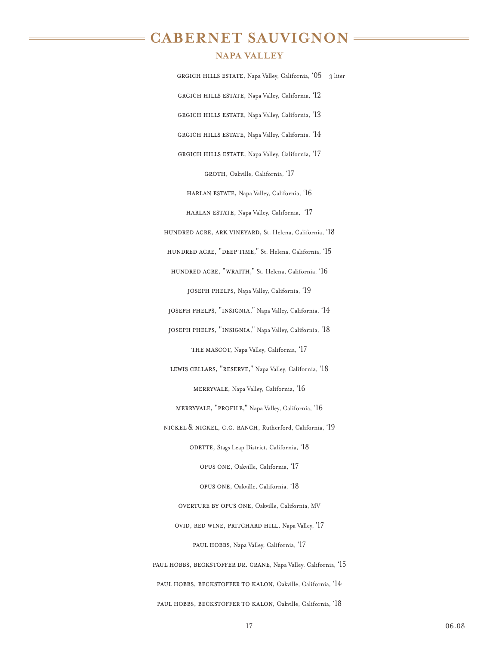## **NAPA VALLEY**

grgich hills estate, Napa Valley, California, '05 3 litergrgich hills estate, Napa Valley, California, '12 grgich hills estate, Napa Valley, California, '13 grgich hills estate, Napa Valley, California, '14 GRGICH HILLS ESTATE, Napa Valley, California, '17 GROTH, Oakville, California, '17 harlan estate, Napa Valley, California, '16

harlan estate, Napa Valley, California, '17

hundred acre, ark vineyard, St. Helena, California, '18

HUNDRED ACRE, "DEEP TIME," St. Helena, California, '15

hundred acre, "wraith," St. Helena, California, '16 joseph phelps, Napa Valley, California, '19

joseph phelps, "insignia," Napa Valley, California, '14

joseph phelps, "insignia," Napa Valley, California, '18

THE MASCOT, Napa Valley, California, '17

lewis cellars, "reserve," Napa Valley, California, '18 merryvale, Napa Valley, California, '16

merryvale, "profile," Napa Valley, California, '16

nickel & nickel, c.c. ranch, Rutherford, California, '19 ODETTE, Stags Leap District, California, '18

opus one, Oakville, California, '17

opus one, Oakville, California, '18

overture by opus one, Oakville, California, MV

ovid, red wine, pritchard hill, Napa Valley, '17

PAUL HOBBS, Napa Valley, California, '17

paul hobbs, beckstoffer dr. crane, Napa Valley, California, '15 paul hobbs, beckstoffer to kalon, Oakville, California, '14 paul hobbs, beckstoffer to kalon, Oakville, California, '18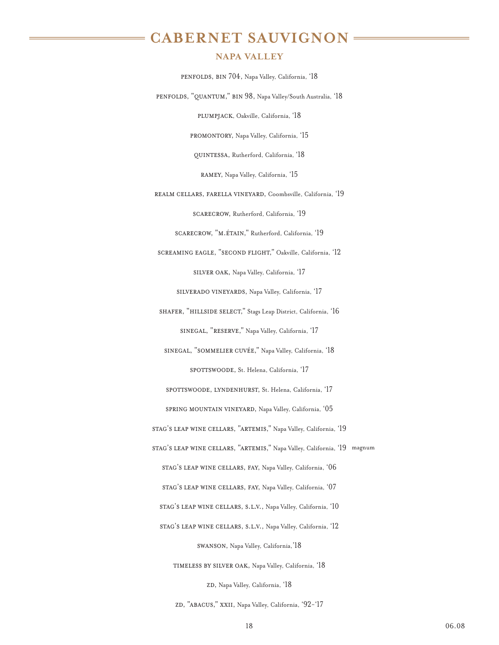## **NAPA VALLEY**

penfolds, bin 704, Napa Valley, California, '18 penfolds, "quantum," bin 98, Napa Valley/South Australia, '18 plumpjack, Oakville, California, '18 promontory, Napa Valley, California, '15 quintessa, Rutherford, California, '18 ramey, Napa Valley, California, '15 realm cellars, farella vineyard, Coombsville, California, '19 scarecrow, Rutherford, California, '19 scarecrow, "m.Étain," Rutherford, California, '19 screaming eagle, "second flight," Oakville, California, '12 silver oak, Napa Valley, California, '17 silverado vineyards, Napa Valley, California, '17 shafer, "hillside select," Stags Leap District, California, '16 sinegal, "reserve," Napa Valley, California, '17 sinegal, "sommelier cuvÉe," Napa Valley, California, '18 SPOTTSWOODE, St. Helena, California, '17 SPOTTSWOODE, LYNDENHURST, St. Helena, California, '17 spring mountain vineyard, Napa Valley, California, '05 stag's leap wine cellars, "artemis," Napa Valley, California, '19 stag's leap wine cellars, "artemis," Napa Valley, California, '19 magnumstag's leap wine cellars, fay, Napa Valley, California, '06 stag's leap wine cellars, fay, Napa Valley, California, '07 stag's leap wine cellars, s.l.v., Napa Valley, California, '10 stag's leap wine cellars, s.l.v., Napa Valley, California, '12 swanson, Napa Valley, California,'18 timeless by silver oak, Napa Valley, California, '18 ZD, Napa Valley, California, '18

zD, "ABACUS," XXII, Napa Valley, California, '92-'17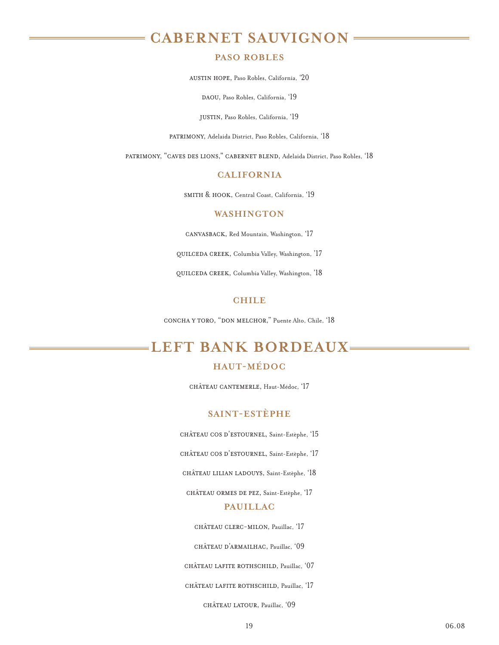#### **PASO ROBLES**

austin hope, Paso Robles, California, '20

DAOU, Paso Robles, California, '19

justin, Paso Robles, California, '19

patrimony, Adelaida District, Paso Robles, California, '18

<span id="page-18-0"></span>patrimony, "caves des lions," cabernet blend, Adelaida District, Paso Robles, '18

### **CALIFORNIA**

smith & hook, Central Coast, California, '19

#### **WASHINGTON**

canvasback, Red Mountain, Washington, '17

quilceda creek, Columbia Valley, Washington, '17

quilceda creek, Columbia Valley, Washington, '18

## **CHILE**

concha y toro, "don melchor," Puente Alto, Chile, '18

## **LEFT BANK BORDEAUX**

## **HAUT-MÉDOC**

château cantemerle, Haut-Médoc, '17

## **SAINT-ESTÈPHE**

château cos d'estournel, Saint-Estèphe, '15

château cos d'estournel, Saint-Estèphe, '17

château lilian ladouys, Saint-Estèphe, '18

château ormes de pez, Saint-Estèphe, '17

#### **PAUILLAC**

château clerc-milon, Pauillac, '17

château d'armailhac, Pauillac, '09

château lafite rothschild, Pauillac, '07

château lafite rothschild, Pauillac, '17

château latour, Pauillac, '09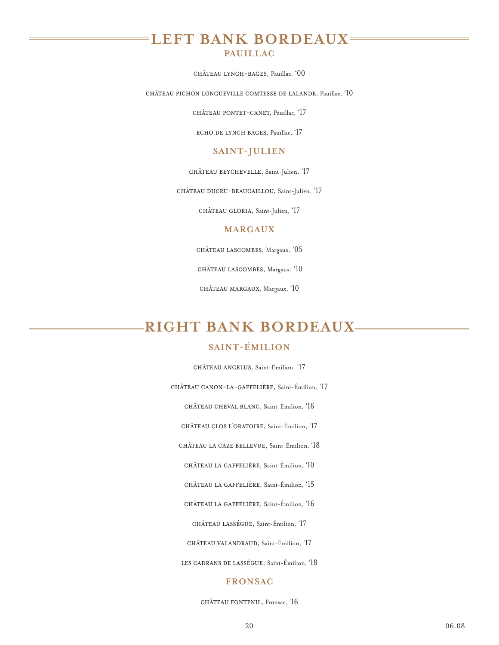## **LEFT BANK BORDEAUX**

## **PAUILLAC**

château lynch-bages, Pauillac, '00

château pichon longueville comtesse de lalande, Pauillac, '10

château pontet-canet, Pauillac, '17

echo de lynch bages, Pauillac, '17

#### **SAINT-JULIEN**

château beychevelle, Saint-Julien, '17

château ducru-beaucaillou, Saint-Julien, '17

château gloria, Saint-Julien, '17

#### **MARGAUX**

château lascombes, Margaux, '05

château lascombes, Margaux, '10

château margaux, Margaux, '10

# **RIGHT BANK BORDEAUX**

## **SAINT-ÉMILION**

château angelus, Saint-Émilion, '17

château canon-la-gaffelière, Saint-Émilion, '17

château cheval blanc, Saint-Émilion, '16

château clos l'oratoire, Saint-Émilion, '17

château la caze bellevue, Saint-Émilion, '18

château la gaffelière, Saint-Émilion, '10

château la gaffelière, Saint-Émilion, '15

château la gaffelière, Saint-Émilion, '16

château lassÉgue, Saint-Émilion, '17

château valandraud, Saint-Émilion, '17

les cadrans de lassÉgue, Saint-Émilion, '18

#### **FRONSAC**

château fontenil, Fronsac, '16